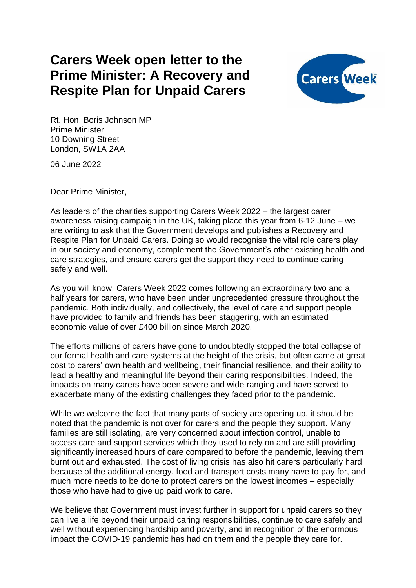## **Carers Week open letter to the Prime Minister: A Recovery and Respite Plan for Unpaid Carers**



Rt. Hon. Boris Johnson MP Prime Minister 10 Downing Street London, SW1A 2AA

06 June 2022

Dear Prime Minister,

As leaders of the charities supporting Carers Week 2022 – the largest carer awareness raising campaign in the UK, taking place this year from 6-12 June – we are writing to ask that the Government develops and publishes a Recovery and Respite Plan for Unpaid Carers. Doing so would recognise the vital role carers play in our society and economy, complement the Government's other existing health and care strategies, and ensure carers get the support they need to continue caring safely and well.

As you will know, Carers Week 2022 comes following an extraordinary two and a half years for carers, who have been under unprecedented pressure throughout the pandemic. Both individually, and collectively, the level of care and support people have provided to family and friends has been staggering, with an estimated economic value of over £400 billion since March 2020.

The efforts millions of carers have gone to undoubtedly stopped the total collapse of our formal health and care systems at the height of the crisis, but often came at great cost to carers' own health and wellbeing, their financial resilience, and their ability to lead a healthy and meaningful life beyond their caring responsibilities. Indeed, the impacts on many carers have been severe and wide ranging and have served to exacerbate many of the existing challenges they faced prior to the pandemic.

While we welcome the fact that many parts of society are opening up, it should be noted that the pandemic is not over for carers and the people they support. Many families are still isolating, are very concerned about infection control, unable to access care and support services which they used to rely on and are still providing significantly increased hours of care compared to before the pandemic, leaving them burnt out and exhausted. The cost of living crisis has also hit carers particularly hard because of the additional energy, food and transport costs many have to pay for, and much more needs to be done to protect carers on the lowest incomes – especially those who have had to give up paid work to care.

We believe that Government must invest further in support for unpaid carers so they can live a life beyond their unpaid caring responsibilities, continue to care safely and well without experiencing hardship and poverty, and in recognition of the enormous impact the COVID-19 pandemic has had on them and the people they care for.